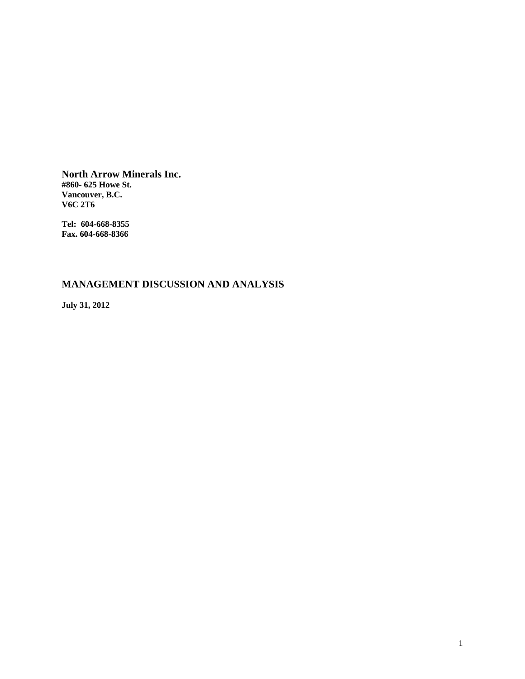**North Arrow Minerals Inc. #860- 625 Howe St. Vancouver, B.C. V6C 2T6** 

**Tel: 604-668-8355 Fax. 604-668-8366** 

# **MANAGEMENT DISCUSSION AND ANALYSIS**

**July 31, 2012**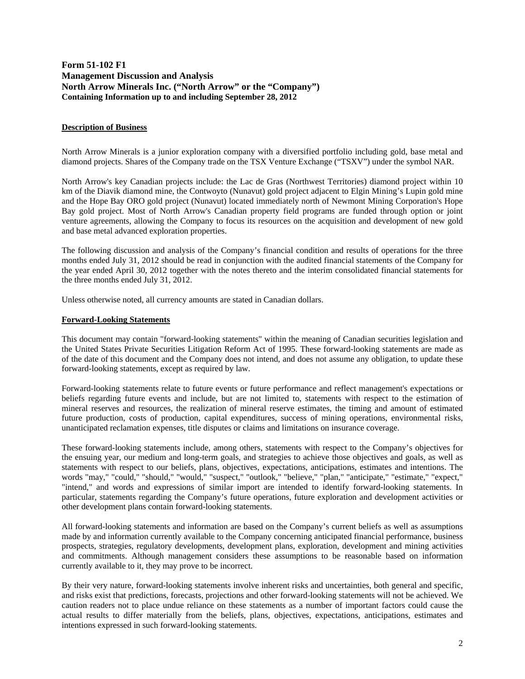# **Form 51-102 F1 Management Discussion and Analysis North Arrow Minerals Inc. ("North Arrow" or the "Company") Containing Information up to and including September 28, 2012**

# **Description of Business**

North Arrow Minerals is a junior exploration company with a diversified portfolio including gold, base metal and diamond projects. Shares of the Company trade on the TSX Venture Exchange ("TSXV") under the symbol NAR.

North Arrow's key Canadian projects include: the Lac de Gras (Northwest Territories) diamond project within 10 km of the Diavik diamond mine, the Contwoyto (Nunavut) gold project adjacent to Elgin Mining's Lupin gold mine and the Hope Bay ORO gold project (Nunavut) located immediately north of Newmont Mining Corporation's Hope Bay gold project. Most of North Arrow's Canadian property field programs are funded through option or joint venture agreements, allowing the Company to focus its resources on the acquisition and development of new gold and base metal advanced exploration properties.

The following discussion and analysis of the Company's financial condition and results of operations for the three months ended July 31, 2012 should be read in conjunction with the audited financial statements of the Company for the year ended April 30, 2012 together with the notes thereto and the interim consolidated financial statements for the three months ended July 31, 2012.

Unless otherwise noted, all currency amounts are stated in Canadian dollars.

# **Forward-Looking Statements**

This document may contain "forward-looking statements" within the meaning of Canadian securities legislation and the United States Private Securities Litigation Reform Act of 1995. These forward-looking statements are made as of the date of this document and the Company does not intend, and does not assume any obligation, to update these forward-looking statements, except as required by law.

Forward-looking statements relate to future events or future performance and reflect management's expectations or beliefs regarding future events and include, but are not limited to, statements with respect to the estimation of mineral reserves and resources, the realization of mineral reserve estimates, the timing and amount of estimated future production, costs of production, capital expenditures, success of mining operations, environmental risks, unanticipated reclamation expenses, title disputes or claims and limitations on insurance coverage.

These forward-looking statements include, among others, statements with respect to the Company's objectives for the ensuing year, our medium and long-term goals, and strategies to achieve those objectives and goals, as well as statements with respect to our beliefs, plans, objectives, expectations, anticipations, estimates and intentions. The words "may," "could," "should," "would," "suspect," "outlook," "believe," "plan," "anticipate," "estimate," "expect," "intend," and words and expressions of similar import are intended to identify forward-looking statements. In particular, statements regarding the Company's future operations, future exploration and development activities or other development plans contain forward-looking statements.

All forward-looking statements and information are based on the Company's current beliefs as well as assumptions made by and information currently available to the Company concerning anticipated financial performance, business prospects, strategies, regulatory developments, development plans, exploration, development and mining activities and commitments. Although management considers these assumptions to be reasonable based on information currently available to it, they may prove to be incorrect.

By their very nature, forward-looking statements involve inherent risks and uncertainties, both general and specific, and risks exist that predictions, forecasts, projections and other forward-looking statements will not be achieved. We caution readers not to place undue reliance on these statements as a number of important factors could cause the actual results to differ materially from the beliefs, plans, objectives, expectations, anticipations, estimates and intentions expressed in such forward-looking statements.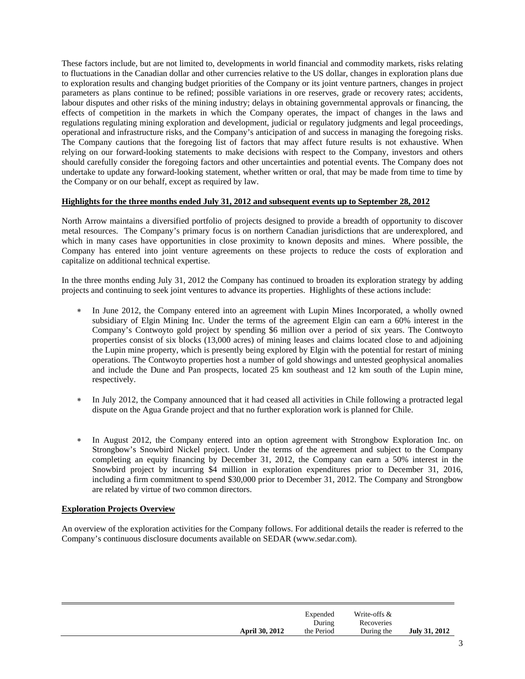These factors include, but are not limited to, developments in world financial and commodity markets, risks relating to fluctuations in the Canadian dollar and other currencies relative to the US dollar, changes in exploration plans due to exploration results and changing budget priorities of the Company or its joint venture partners, changes in project parameters as plans continue to be refined; possible variations in ore reserves, grade or recovery rates; accidents, labour disputes and other risks of the mining industry; delays in obtaining governmental approvals or financing, the effects of competition in the markets in which the Company operates, the impact of changes in the laws and regulations regulating mining exploration and development, judicial or regulatory judgments and legal proceedings, operational and infrastructure risks, and the Company's anticipation of and success in managing the foregoing risks. The Company cautions that the foregoing list of factors that may affect future results is not exhaustive. When relying on our forward-looking statements to make decisions with respect to the Company, investors and others should carefully consider the foregoing factors and other uncertainties and potential events. The Company does not undertake to update any forward-looking statement, whether written or oral, that may be made from time to time by the Company or on our behalf, except as required by law.

# **Highlights for the three months ended July 31, 2012 and subsequent events up to September 28, 2012**

North Arrow maintains a diversified portfolio of projects designed to provide a breadth of opportunity to discover metal resources. The Company's primary focus is on northern Canadian jurisdictions that are underexplored, and which in many cases have opportunities in close proximity to known deposits and mines. Where possible, the Company has entered into joint venture agreements on these projects to reduce the costs of exploration and capitalize on additional technical expertise.

In the three months ending July 31, 2012 the Company has continued to broaden its exploration strategy by adding projects and continuing to seek joint ventures to advance its properties. Highlights of these actions include:

- In June 2012, the Company entered into an agreement with Lupin Mines Incorporated, a wholly owned subsidiary of Elgin Mining Inc. Under the terms of the agreement Elgin can earn a 60% interest in the Company's Contwoyto gold project by spending \$6 million over a period of six years. The Contwoyto properties consist of six blocks (13,000 acres) of mining leases and claims located close to and adjoining the Lupin mine property, which is presently being explored by Elgin with the potential for restart of mining operations. The Contwoyto properties host a number of gold showings and untested geophysical anomalies and include the Dune and Pan prospects, located 25 km southeast and 12 km south of the Lupin mine, respectively.
- In July 2012, the Company announced that it had ceased all activities in Chile following a protracted legal dispute on the Agua Grande project and that no further exploration work is planned for Chile.
- \* In August 2012, the Company entered into an option agreement with Strongbow Exploration Inc. on Strongbow's Snowbird Nickel project. Under the terms of the agreement and subject to the Company completing an equity financing by December 31, 2012, the Company can earn a 50% interest in the Snowbird project by incurring \$4 million in exploration expenditures prior to December 31, 2016, including a firm commitment to spend \$30,000 prior to December 31, 2012. The Company and Strongbow are related by virtue of two common directors.

# **Exploration Projects Overview**

An overview of the exploration activities for the Company follows. For additional details the reader is referred to the Company's continuous disclosure documents available on SEDAR (www.sedar.com).

|                       | Expended<br>During | Write-offs &<br>Recoveries |                      |
|-----------------------|--------------------|----------------------------|----------------------|
| <b>April 30, 2012</b> | the Period         | During the                 | <b>July 31, 2012</b> |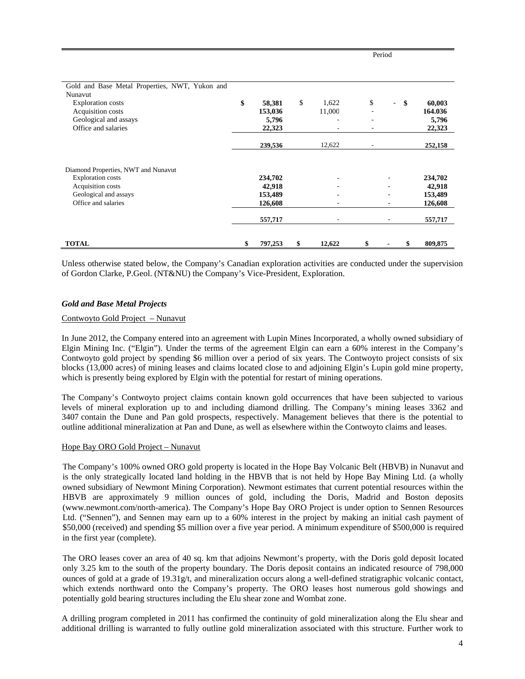| Gold and Base Metal Properties, NWT, Yukon and                                                                                       |                                                    |              |    |                          |                                                    |
|--------------------------------------------------------------------------------------------------------------------------------------|----------------------------------------------------|--------------|----|--------------------------|----------------------------------------------------|
| Nunavut                                                                                                                              |                                                    |              |    |                          |                                                    |
| <b>Exploration costs</b>                                                                                                             | \$<br>58,381                                       | \$<br>1,622  | \$ | $\overline{\phantom{0}}$ | \$<br>60,003                                       |
| Acquisition costs                                                                                                                    | 153,036                                            | 11,000       |    |                          | 164.036                                            |
| Geological and assays                                                                                                                | 5,796                                              | ٠            | ۰  |                          | 5,796                                              |
| Office and salaries                                                                                                                  | 22,323                                             |              |    |                          | 22,323                                             |
|                                                                                                                                      | 239,536                                            | 12,622       |    |                          | 252,158                                            |
| Diamond Properties, NWT and Nunavut<br><b>Exploration</b> costs<br>Acquisition costs<br>Geological and assays<br>Office and salaries | 234,702<br>42,918<br>153,489<br>126,608<br>557,717 | ٠            |    | $\overline{\phantom{a}}$ | 234,702<br>42,918<br>153,489<br>126,608<br>557,717 |
| <b>TOTAL</b>                                                                                                                         | \$<br>797,253                                      | \$<br>12,622 | \$ |                          | 809,875                                            |

Period

Unless otherwise stated below, the Company's Canadian exploration activities are conducted under the supervision of Gordon Clarke, P.Geol. (NT&NU) the Company's Vice-President, Exploration.

# *Gold and Base Metal Projects*

# Contwoyto Gold Project – Nunavut

In June 2012, the Company entered into an agreement with Lupin Mines Incorporated, a wholly owned subsidiary of Elgin Mining Inc. ("Elgin"). Under the terms of the agreement Elgin can earn a 60% interest in the Company's Contwoyto gold project by spending \$6 million over a period of six years. The Contwoyto project consists of six blocks (13,000 acres) of mining leases and claims located close to and adjoining Elgin's Lupin gold mine property, which is presently being explored by Elgin with the potential for restart of mining operations.

The Company's Contwoyto project claims contain known gold occurrences that have been subjected to various levels of mineral exploration up to and including diamond drilling. The Company's mining leases 3362 and 3407 contain the Dune and Pan gold prospects, respectively. Management believes that there is the potential to outline additional mineralization at Pan and Dune, as well as elsewhere within the Contwoyto claims and leases.

# Hope Bay ORO Gold Project – Nunavut

The Company's 100% owned ORO gold property is located in the Hope Bay Volcanic Belt (HBVB) in Nunavut and is the only strategically located land holding in the HBVB that is not held by Hope Bay Mining Ltd. (a wholly owned subsidiary of Newmont Mining Corporation). Newmont estimates that current potential resources within the HBVB are approximately 9 million ounces of gold, including the Doris, Madrid and Boston deposits (www.newmont.com/north-america). The Company's Hope Bay ORO Project is under option to Sennen Resources Ltd. ("Sennen"), and Sennen may earn up to a 60% interest in the project by making an initial cash payment of \$50,000 (received) and spending \$5 million over a five year period. A minimum expenditure of \$500,000 is required in the first year (complete).

The ORO leases cover an area of 40 sq. km that adjoins Newmont's property, with the Doris gold deposit located only 3.25 km to the south of the property boundary. The Doris deposit contains an indicated resource of 798,000 ounces of gold at a grade of  $19.31g/t$ , and mineralization occurs along a well-defined stratigraphic volcanic contact, which extends northward onto the Company's property. The ORO leases host numerous gold showings and potentially gold bearing structures including the Elu shear zone and Wombat zone.

A drilling program completed in 2011 has confirmed the continuity of gold mineralization along the Elu shear and additional drilling is warranted to fully outline gold mineralization associated with this structure. Further work to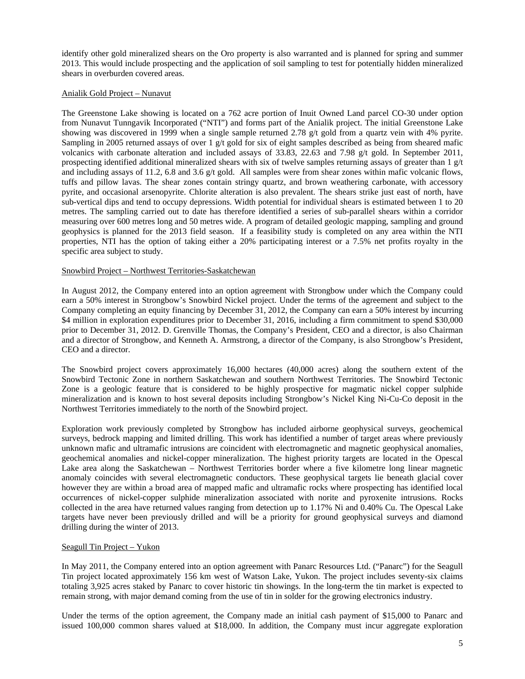identify other gold mineralized shears on the Oro property is also warranted and is planned for spring and summer 2013. This would include prospecting and the application of soil sampling to test for potentially hidden mineralized shears in overburden covered areas.

# Anialik Gold Project – Nunavut

The Greenstone Lake showing is located on a 762 acre portion of Inuit Owned Land parcel CO-30 under option from Nunavut Tunngavik Incorporated ("NTI") and forms part of the Anialik project. The initial Greenstone Lake showing was discovered in 1999 when a single sample returned 2.78 g/t gold from a quartz vein with 4% pyrite. Sampling in 2005 returned assays of over 1 g/t gold for six of eight samples described as being from sheared mafic volcanics with carbonate alteration and included assays of 33.83, 22.63 and 7.98 g/t gold. In September 2011, prospecting identified additional mineralized shears with six of twelve samples returning assays of greater than 1 g/t and including assays of 11.2, 6.8 and 3.6 g/t gold. All samples were from shear zones within mafic volcanic flows, tuffs and pillow lavas. The shear zones contain stringy quartz, and brown weathering carbonate, with accessory pyrite, and occasional arsenopyrite. Chlorite alteration is also prevalent. The shears strike just east of north, have sub-vertical dips and tend to occupy depressions. Width potential for individual shears is estimated between 1 to 20 metres. The sampling carried out to date has therefore identified a series of sub-parallel shears within a corridor measuring over 600 metres long and 50 metres wide. A program of detailed geologic mapping, sampling and ground geophysics is planned for the 2013 field season. If a feasibility study is completed on any area within the NTI properties, NTI has the option of taking either a 20% participating interest or a 7.5% net profits royalty in the specific area subject to study.

# Snowbird Project – Northwest Territories-Saskatchewan

In August 2012, the Company entered into an option agreement with Strongbow under which the Company could earn a 50% interest in Strongbow's Snowbird Nickel project. Under the terms of the agreement and subject to the Company completing an equity financing by December 31, 2012, the Company can earn a 50% interest by incurring \$4 million in exploration expenditures prior to December 31, 2016, including a firm commitment to spend \$30,000 prior to December 31, 2012. D. Grenville Thomas, the Company's President, CEO and a director, is also Chairman and a director of Strongbow, and Kenneth A. Armstrong, a director of the Company, is also Strongbow's President, CEO and a director.

The Snowbird project covers approximately 16,000 hectares (40,000 acres) along the southern extent of the Snowbird Tectonic Zone in northern Saskatchewan and southern Northwest Territories. The Snowbird Tectonic Zone is a geologic feature that is considered to be highly prospective for magmatic nickel copper sulphide mineralization and is known to host several deposits including Strongbow's Nickel King Ni-Cu-Co deposit in the Northwest Territories immediately to the north of the Snowbird project.

Exploration work previously completed by Strongbow has included airborne geophysical surveys, geochemical surveys, bedrock mapping and limited drilling. This work has identified a number of target areas where previously unknown mafic and ultramafic intrusions are coincident with electromagnetic and magnetic geophysical anomalies, geochemical anomalies and nickel-copper mineralization. The highest priority targets are located in the Opescal Lake area along the Saskatchewan – Northwest Territories border where a five kilometre long linear magnetic anomaly coincides with several electromagnetic conductors. These geophysical targets lie beneath glacial cover however they are within a broad area of mapped mafic and ultramafic rocks where prospecting has identified local occurrences of nickel-copper sulphide mineralization associated with norite and pyroxenite intrusions. Rocks collected in the area have returned values ranging from detection up to 1.17% Ni and 0.40% Cu. The Opescal Lake targets have never been previously drilled and will be a priority for ground geophysical surveys and diamond drilling during the winter of 2013.

# Seagull Tin Project – Yukon

In May 2011, the Company entered into an option agreement with Panarc Resources Ltd. ("Panarc") for the Seagull Tin project located approximately 156 km west of Watson Lake, Yukon. The project includes seventy-six claims totaling 3,925 acres staked by Panarc to cover historic tin showings. In the long-term the tin market is expected to remain strong, with major demand coming from the use of tin in solder for the growing electronics industry.

Under the terms of the option agreement, the Company made an initial cash payment of \$15,000 to Panarc and issued 100,000 common shares valued at \$18,000. In addition, the Company must incur aggregate exploration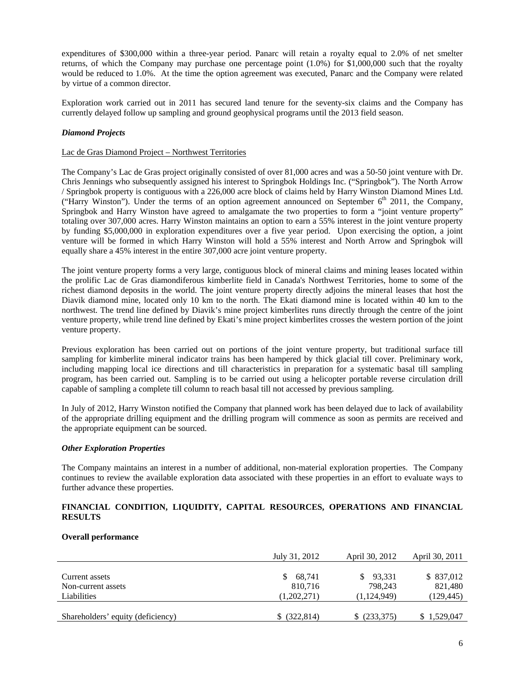expenditures of \$300,000 within a three-year period. Panarc will retain a royalty equal to 2.0% of net smelter returns, of which the Company may purchase one percentage point (1.0%) for \$1,000,000 such that the royalty would be reduced to 1.0%. At the time the option agreement was executed, Panarc and the Company were related by virtue of a common director.

Exploration work carried out in 2011 has secured land tenure for the seventy-six claims and the Company has currently delayed follow up sampling and ground geophysical programs until the 2013 field season.

# *Diamond Projects*

# Lac de Gras Diamond Project – Northwest Territories

The Company's Lac de Gras project originally consisted of over 81,000 acres and was a 50-50 joint venture with Dr. Chris Jennings who subsequently assigned his interest to Springbok Holdings Inc. ("Springbok"). The North Arrow / Springbok property is contiguous with a 226,000 acre block of claims held by Harry Winston Diamond Mines Ltd. ("Harry Winston"). Under the terms of an option agreement announced on September  $6<sup>th</sup>$  2011, the Company, Springbok and Harry Winston have agreed to amalgamate the two properties to form a "joint venture property" totaling over 307,000 acres. Harry Winston maintains an option to earn a 55% interest in the joint venture property by funding \$5,000,000 in exploration expenditures over a five year period. Upon exercising the option, a joint venture will be formed in which Harry Winston will hold a 55% interest and North Arrow and Springbok will equally share a 45% interest in the entire 307,000 acre joint venture property.

The joint venture property forms a very large, contiguous block of mineral claims and mining leases located within the prolific Lac de Gras diamondiferous kimberlite field in Canada's Northwest Territories, home to some of the richest diamond deposits in the world. The joint venture property directly adjoins the mineral leases that host the Diavik diamond mine, located only 10 km to the north. The Ekati diamond mine is located within 40 km to the northwest. The trend line defined by Diavik's mine project kimberlites runs directly through the centre of the joint venture property, while trend line defined by Ekati's mine project kimberlites crosses the western portion of the joint venture property.

Previous exploration has been carried out on portions of the joint venture property, but traditional surface till sampling for kimberlite mineral indicator trains has been hampered by thick glacial till cover. Preliminary work, including mapping local ice directions and till characteristics in preparation for a systematic basal till sampling program, has been carried out. Sampling is to be carried out using a helicopter portable reverse circulation drill capable of sampling a complete till column to reach basal till not accessed by previous sampling.

In July of 2012, Harry Winston notified the Company that planned work has been delayed due to lack of availability of the appropriate drilling equipment and the drilling program will commence as soon as permits are received and the appropriate equipment can be sourced.

# *Other Exploration Properties*

The Company maintains an interest in a number of additional, non-material exploration properties. The Company continues to review the available exploration data associated with these properties in an effort to evaluate ways to further advance these properties.

# **FINANCIAL CONDITION, LIQUIDITY, CAPITAL RESOURCES, OPERATIONS AND FINANCIAL RESULTS**

# **Overall performance**

|                                   | July 31, 2012 | April 30, 2012 | April 30, 2011 |
|-----------------------------------|---------------|----------------|----------------|
|                                   |               |                |                |
| Current assets                    | 68,741        | 93,331         | \$ 837,012     |
| Non-current assets                | 810,716       | 798.243        | 821,480        |
| Liabilities                       | (1,202,271)   | (1, 124, 949)  | (129, 445)     |
|                                   |               |                |                |
| Shareholders' equity (deficiency) | \$ (322, 814) | (233,375)      | \$1,529,047    |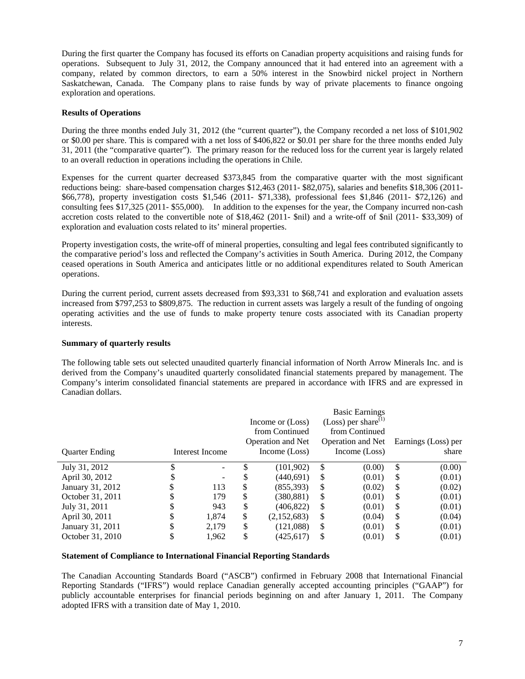During the first quarter the Company has focused its efforts on Canadian property acquisitions and raising funds for operations. Subsequent to July 31, 2012, the Company announced that it had entered into an agreement with a company, related by common directors, to earn a 50% interest in the Snowbird nickel project in Northern Saskatchewan, Canada. The Company plans to raise funds by way of private placements to finance ongoing exploration and operations.

# **Results of Operations**

During the three months ended July 31, 2012 (the "current quarter"), the Company recorded a net loss of \$101,902 or \$0.00 per share. This is compared with a net loss of \$406,822 or \$0.01 per share for the three months ended July 31, 2011 (the "comparative quarter"). The primary reason for the reduced loss for the current year is largely related to an overall reduction in operations including the operations in Chile.

Expenses for the current quarter decreased \$373,845 from the comparative quarter with the most significant reductions being: share-based compensation charges \$12,463 (2011- \$82,075), salaries and benefits \$18,306 (2011- \$66,778), property investigation costs \$1,546 (2011- \$71,338), professional fees \$1,846 (2011- \$72,126) and consulting fees \$17,325 (2011- \$55,000). In addition to the expenses for the year, the Company incurred non-cash accretion costs related to the convertible note of \$18,462 (2011- \$nil) and a write-off of \$nil (2011- \$33,309) of exploration and evaluation costs related to its' mineral properties.

Property investigation costs, the write-off of mineral properties, consulting and legal fees contributed significantly to the comparative period's loss and reflected the Company's activities in South America. During 2012, the Company ceased operations in South America and anticipates little or no additional expenditures related to South American operations.

During the current period, current assets decreased from \$93,331 to \$68,741 and exploration and evaluation assets increased from \$797,253 to \$809,875. The reduction in current assets was largely a result of the funding of ongoing operating activities and the use of funds to make property tenure costs associated with its Canadian property interests.

# **Summary of quarterly results**

The following table sets out selected unaudited quarterly financial information of North Arrow Minerals Inc. and is derived from the Company's unaudited quarterly consolidated financial statements prepared by management. The Company's interim consolidated financial statements are prepared in accordance with IFRS and are expressed in Canadian dollars.

|                       |                 |    |                   |    | <b>Basic Earnings</b>           |    |                     |
|-----------------------|-----------------|----|-------------------|----|---------------------------------|----|---------------------|
|                       |                 |    | Income or (Loss)  |    | (Loss) per share <sup>(1)</sup> |    |                     |
|                       |                 |    | from Continued    |    | from Continued                  |    |                     |
|                       |                 |    | Operation and Net |    | Operation and Net               |    | Earnings (Loss) per |
| <b>Quarter Ending</b> | Interest Income |    | Income (Loss)     |    | Income (Loss)                   |    | share               |
| July 31, 2012         |                 |    | (101, 902)        | \$ | (0.00)                          | \$ | (0.00)              |
| April 30, 2012        |                 | S  | (440,691)         | S  | (0.01)                          | S  | (0.01)              |
| January 31, 2012      | 113             | \$ | (855, 393)        | S  | (0.02)                          | S  | (0.02)              |
| October 31, 2011      | 179             | \$ | (380,881)         | S  | (0.01)                          | S  | (0.01)              |
| July 31, 2011         | 943             | \$ | (406, 822)        | S  | (0.01)                          | S  | (0.01)              |
| April 30, 2011        | 1,874           | \$ | (2,152,683)       | \$ | (0.04)                          | -S | (0.04)              |
| January 31, 2011      | 2,179           | \$ | (121,088)         | \$ | (0.01)                          | S  | (0.01)              |
| October 31, 2010      | 1,962           | \$ | (425, 617)        | \$ | (0.01)                          | S  | (0.01)              |

# **Statement of Compliance to International Financial Reporting Standards**

The Canadian Accounting Standards Board ("ASCB") confirmed in February 2008 that International Financial Reporting Standards ("IFRS") would replace Canadian generally accepted accounting principles ("GAAP") for publicly accountable enterprises for financial periods beginning on and after January 1, 2011. The Company adopted IFRS with a transition date of May 1, 2010.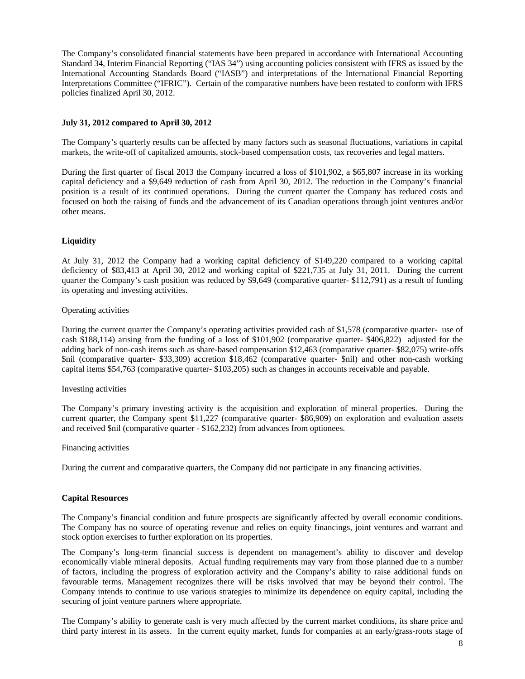The Company's consolidated financial statements have been prepared in accordance with International Accounting Standard 34, Interim Financial Reporting ("IAS 34") using accounting policies consistent with IFRS as issued by the International Accounting Standards Board ("IASB") and interpretations of the International Financial Reporting Interpretations Committee ("IFRIC"). Certain of the comparative numbers have been restated to conform with IFRS policies finalized April 30, 2012.

# **July 31, 2012 compared to April 30, 2012**

The Company's quarterly results can be affected by many factors such as seasonal fluctuations, variations in capital markets, the write-off of capitalized amounts, stock-based compensation costs, tax recoveries and legal matters.

During the first quarter of fiscal 2013 the Company incurred a loss of \$101,902, a \$65,807 increase in its working capital deficiency and a \$9,649 reduction of cash from April 30, 2012. The reduction in the Company's financial position is a result of its continued operations. During the current quarter the Company has reduced costs and focused on both the raising of funds and the advancement of its Canadian operations through joint ventures and/or other means.

# **Liquidity**

At July 31, 2012 the Company had a working capital deficiency of \$149,220 compared to a working capital deficiency of \$83,413 at April 30, 2012 and working capital of \$221,735 at July 31, 2011. During the current quarter the Company's cash position was reduced by \$9,649 (comparative quarter- \$112,791) as a result of funding its operating and investing activities.

# Operating activities

During the current quarter the Company's operating activities provided cash of \$1,578 (comparative quarter- use of cash \$188,114) arising from the funding of a loss of \$101,902 (comparative quarter- \$406,822) adjusted for the adding back of non-cash items such as share-based compensation \$12,463 (comparative quarter- \$82,075) write-offs \$nil (comparative quarter- \$33,309) accretion \$18,462 (comparative quarter- \$nil) and other non-cash working capital items \$54,763 (comparative quarter- \$103,205) such as changes in accounts receivable and payable.

# Investing activities

The Company's primary investing activity is the acquisition and exploration of mineral properties. During the current quarter, the Company spent \$11,227 (comparative quarter- \$86,909) on exploration and evaluation assets and received \$nil (comparative quarter - \$162,232) from advances from optionees.

# Financing activities

During the current and comparative quarters, the Company did not participate in any financing activities.

# **Capital Resources**

The Company's financial condition and future prospects are significantly affected by overall economic conditions. The Company has no source of operating revenue and relies on equity financings, joint ventures and warrant and stock option exercises to further exploration on its properties.

The Company's long-term financial success is dependent on management's ability to discover and develop economically viable mineral deposits. Actual funding requirements may vary from those planned due to a number of factors, including the progress of exploration activity and the Company's ability to raise additional funds on favourable terms. Management recognizes there will be risks involved that may be beyond their control. The Company intends to continue to use various strategies to minimize its dependence on equity capital, including the securing of joint venture partners where appropriate.

The Company's ability to generate cash is very much affected by the current market conditions, its share price and third party interest in its assets. In the current equity market, funds for companies at an early/grass-roots stage of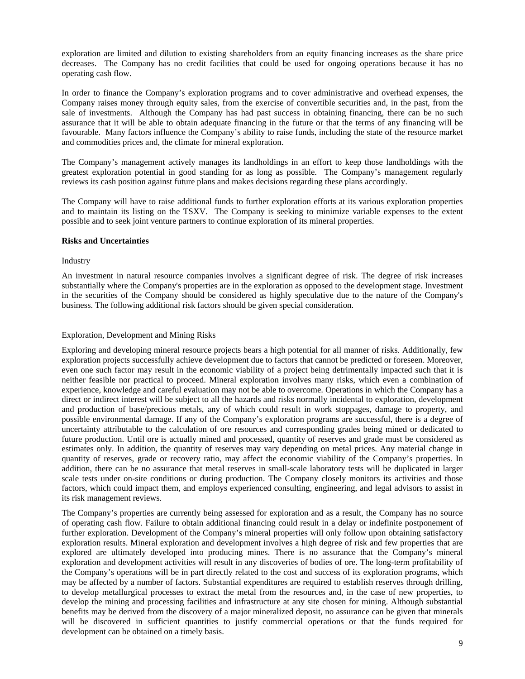exploration are limited and dilution to existing shareholders from an equity financing increases as the share price decreases. The Company has no credit facilities that could be used for ongoing operations because it has no operating cash flow.

In order to finance the Company's exploration programs and to cover administrative and overhead expenses, the Company raises money through equity sales, from the exercise of convertible securities and, in the past, from the sale of investments. Although the Company has had past success in obtaining financing, there can be no such assurance that it will be able to obtain adequate financing in the future or that the terms of any financing will be favourable. Many factors influence the Company's ability to raise funds, including the state of the resource market and commodities prices and, the climate for mineral exploration.

The Company's management actively manages its landholdings in an effort to keep those landholdings with the greatest exploration potential in good standing for as long as possible. The Company's management regularly reviews its cash position against future plans and makes decisions regarding these plans accordingly.

The Company will have to raise additional funds to further exploration efforts at its various exploration properties and to maintain its listing on the TSXV. The Company is seeking to minimize variable expenses to the extent possible and to seek joint venture partners to continue exploration of its mineral properties.

# **Risks and Uncertainties**

# Industry

An investment in natural resource companies involves a significant degree of risk. The degree of risk increases substantially where the Company's properties are in the exploration as opposed to the development stage. Investment in the securities of the Company should be considered as highly speculative due to the nature of the Company's business. The following additional risk factors should be given special consideration.

# Exploration, Development and Mining Risks

Exploring and developing mineral resource projects bears a high potential for all manner of risks. Additionally, few exploration projects successfully achieve development due to factors that cannot be predicted or foreseen. Moreover, even one such factor may result in the economic viability of a project being detrimentally impacted such that it is neither feasible nor practical to proceed. Mineral exploration involves many risks, which even a combination of experience, knowledge and careful evaluation may not be able to overcome. Operations in which the Company has a direct or indirect interest will be subject to all the hazards and risks normally incidental to exploration, development and production of base/precious metals, any of which could result in work stoppages, damage to property, and possible environmental damage. If any of the Company's exploration programs are successful, there is a degree of uncertainty attributable to the calculation of ore resources and corresponding grades being mined or dedicated to future production. Until ore is actually mined and processed, quantity of reserves and grade must be considered as estimates only. In addition, the quantity of reserves may vary depending on metal prices. Any material change in quantity of reserves, grade or recovery ratio, may affect the economic viability of the Company's properties. In addition, there can be no assurance that metal reserves in small-scale laboratory tests will be duplicated in larger scale tests under on-site conditions or during production. The Company closely monitors its activities and those factors, which could impact them, and employs experienced consulting, engineering, and legal advisors to assist in its risk management reviews.

The Company's properties are currently being assessed for exploration and as a result, the Company has no source of operating cash flow. Failure to obtain additional financing could result in a delay or indefinite postponement of further exploration. Development of the Company's mineral properties will only follow upon obtaining satisfactory exploration results. Mineral exploration and development involves a high degree of risk and few properties that are explored are ultimately developed into producing mines. There is no assurance that the Company's mineral exploration and development activities will result in any discoveries of bodies of ore. The long-term profitability of the Company's operations will be in part directly related to the cost and success of its exploration programs, which may be affected by a number of factors. Substantial expenditures are required to establish reserves through drilling, to develop metallurgical processes to extract the metal from the resources and, in the case of new properties, to develop the mining and processing facilities and infrastructure at any site chosen for mining. Although substantial benefits may be derived from the discovery of a major mineralized deposit, no assurance can be given that minerals will be discovered in sufficient quantities to justify commercial operations or that the funds required for development can be obtained on a timely basis.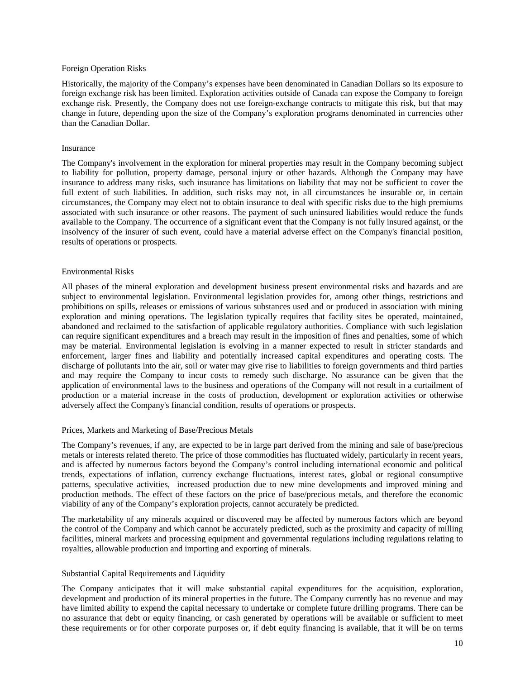### Foreign Operation Risks

Historically, the majority of the Company's expenses have been denominated in Canadian Dollars so its exposure to foreign exchange risk has been limited. Exploration activities outside of Canada can expose the Company to foreign exchange risk. Presently, the Company does not use foreign-exchange contracts to mitigate this risk, but that may change in future, depending upon the size of the Company's exploration programs denominated in currencies other than the Canadian Dollar.

#### Insurance

The Company's involvement in the exploration for mineral properties may result in the Company becoming subject to liability for pollution, property damage, personal injury or other hazards. Although the Company may have insurance to address many risks, such insurance has limitations on liability that may not be sufficient to cover the full extent of such liabilities. In addition, such risks may not, in all circumstances be insurable or, in certain circumstances, the Company may elect not to obtain insurance to deal with specific risks due to the high premiums associated with such insurance or other reasons. The payment of such uninsured liabilities would reduce the funds available to the Company. The occurrence of a significant event that the Company is not fully insured against, or the insolvency of the insurer of such event, could have a material adverse effect on the Company's financial position, results of operations or prospects.

#### Environmental Risks

All phases of the mineral exploration and development business present environmental risks and hazards and are subject to environmental legislation. Environmental legislation provides for, among other things, restrictions and prohibitions on spills, releases or emissions of various substances used and or produced in association with mining exploration and mining operations. The legislation typically requires that facility sites be operated, maintained, abandoned and reclaimed to the satisfaction of applicable regulatory authorities. Compliance with such legislation can require significant expenditures and a breach may result in the imposition of fines and penalties, some of which may be material. Environmental legislation is evolving in a manner expected to result in stricter standards and enforcement, larger fines and liability and potentially increased capital expenditures and operating costs. The discharge of pollutants into the air, soil or water may give rise to liabilities to foreign governments and third parties and may require the Company to incur costs to remedy such discharge. No assurance can be given that the application of environmental laws to the business and operations of the Company will not result in a curtailment of production or a material increase in the costs of production, development or exploration activities or otherwise adversely affect the Company's financial condition, results of operations or prospects.

# Prices, Markets and Marketing of Base/Precious Metals

The Company's revenues, if any, are expected to be in large part derived from the mining and sale of base/precious metals or interests related thereto. The price of those commodities has fluctuated widely, particularly in recent years, and is affected by numerous factors beyond the Company's control including international economic and political trends, expectations of inflation, currency exchange fluctuations, interest rates, global or regional consumptive patterns, speculative activities, increased production due to new mine developments and improved mining and production methods. The effect of these factors on the price of base/precious metals, and therefore the economic viability of any of the Company's exploration projects, cannot accurately be predicted.

The marketability of any minerals acquired or discovered may be affected by numerous factors which are beyond the control of the Company and which cannot be accurately predicted, such as the proximity and capacity of milling facilities, mineral markets and processing equipment and governmental regulations including regulations relating to royalties, allowable production and importing and exporting of minerals.

# Substantial Capital Requirements and Liquidity

The Company anticipates that it will make substantial capital expenditures for the acquisition, exploration, development and production of its mineral properties in the future. The Company currently has no revenue and may have limited ability to expend the capital necessary to undertake or complete future drilling programs. There can be no assurance that debt or equity financing, or cash generated by operations will be available or sufficient to meet these requirements or for other corporate purposes or, if debt equity financing is available, that it will be on terms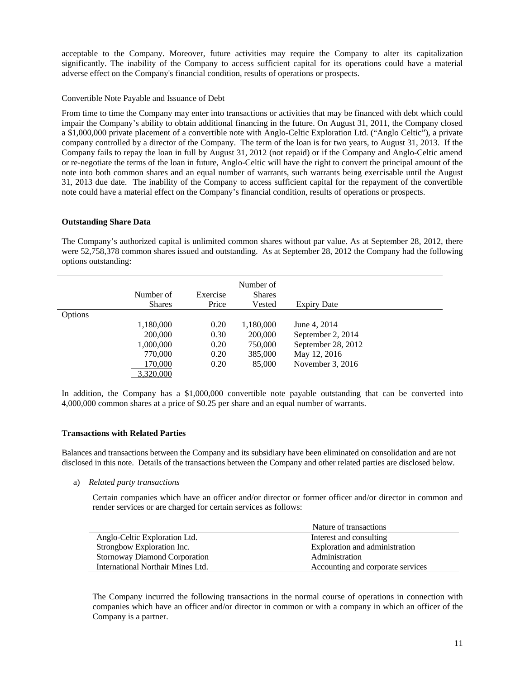acceptable to the Company. Moreover, future activities may require the Company to alter its capitalization significantly. The inability of the Company to access sufficient capital for its operations could have a material adverse effect on the Company's financial condition, results of operations or prospects.

# Convertible Note Payable and Issuance of Debt

From time to time the Company may enter into transactions or activities that may be financed with debt which could impair the Company's ability to obtain additional financing in the future. On August 31, 2011, the Company closed a \$1,000,000 private placement of a convertible note with Anglo-Celtic Exploration Ltd. ("Anglo Celtic"), a private company controlled by a director of the Company. The term of the loan is for two years, to August 31, 2013. If the Company fails to repay the loan in full by August 31, 2012 (not repaid) or if the Company and Anglo-Celtic amend or re-negotiate the terms of the loan in future, Anglo-Celtic will have the right to convert the principal amount of the note into both common shares and an equal number of warrants, such warrants being exercisable until the August 31, 2013 due date. The inability of the Company to access sufficient capital for the repayment of the convertible note could have a material effect on the Company's financial condition, results of operations or prospects.

# **Outstanding Share Data**

The Company's authorized capital is unlimited common shares without par value. As at September 28, 2012, there were 52,758,378 common shares issued and outstanding. As at September 28, 2012 the Company had the following options outstanding:

|         | Number of<br><b>Shares</b> | Exercise<br>Price | Number of<br><b>Shares</b><br>Vested | <b>Expiry Date</b> |
|---------|----------------------------|-------------------|--------------------------------------|--------------------|
| Options |                            |                   |                                      |                    |
|         | 1,180,000                  | 0.20              | 1,180,000                            | June 4, 2014       |
|         | 200,000                    | 0.30              | 200,000                              | September 2, 2014  |
|         | 1,000,000                  | 0.20              | 750,000                              | September 28, 2012 |
|         | 770,000                    | 0.20              | 385,000                              | May 12, 2016       |
|         | 170,000                    | 0.20              | 85,000                               | November 3, 2016   |
|         | 3,320,000                  |                   |                                      |                    |

In addition, the Company has a \$1,000,000 convertible note payable outstanding that can be converted into 4,000,000 common shares at a price of \$0.25 per share and an equal number of warrants.

# **Transactions with Related Parties**

Balances and transactions between the Company and its subsidiary have been eliminated on consolidation and are not disclosed in this note. Details of the transactions between the Company and other related parties are disclosed below.

a) *Related party transactions* 

Certain companies which have an officer and/or director or former officer and/or director in common and render services or are charged for certain services as follows:

|                                      | Nature of transactions            |
|--------------------------------------|-----------------------------------|
| Anglo-Celtic Exploration Ltd.        | Interest and consulting           |
| Strongbow Exploration Inc.           | Exploration and administration    |
| <b>Stornoway Diamond Corporation</b> | Administration                    |
| International Northair Mines Ltd.    | Accounting and corporate services |

The Company incurred the following transactions in the normal course of operations in connection with companies which have an officer and/or director in common or with a company in which an officer of the Company is a partner.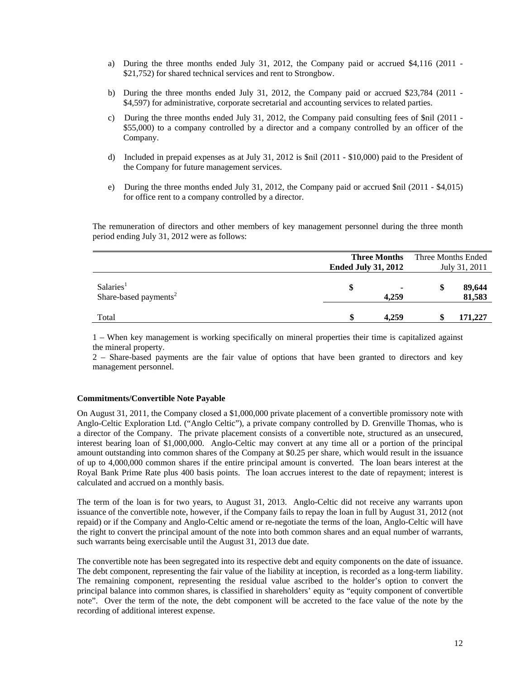- a) During the three months ended July 31, 2012, the Company paid or accrued \$4,116 (2011 \$21,752) for shared technical services and rent to Strongbow.
- b) During the three months ended July 31, 2012, the Company paid or accrued \$23,784 (2011 \$4,597) for administrative, corporate secretarial and accounting services to related parties.
- c) During the three months ended July 31, 2012, the Company paid consulting fees of \$nil (2011 \$55,000) to a company controlled by a director and a company controlled by an officer of the Company.
- d) Included in prepaid expenses as at July 31, 2012 is \$nil (2011 \$10,000) paid to the President of the Company for future management services.
- e) During the three months ended July 31, 2012, the Company paid or accrued \$nil (2011 \$4,015) for office rent to a company controlled by a director.

 The remuneration of directors and other members of key management personnel during the three month period ending July 31, 2012 were as follows:

|                                                            |                            | <b>Three Months</b> | Three Months Ended |                  |  |  |
|------------------------------------------------------------|----------------------------|---------------------|--------------------|------------------|--|--|
|                                                            | <b>Ended July 31, 2012</b> |                     |                    | July 31, 2011    |  |  |
| Salaries <sup>1</sup><br>Share-based payments <sup>2</sup> | \$                         | ۰<br>4.259          | \$                 | 89,644<br>81,583 |  |  |
| Total                                                      | \$                         | 4.259               |                    | 171,227          |  |  |

1 – When key management is working specifically on mineral properties their time is capitalized against the mineral property.

2 – Share-based payments are the fair value of options that have been granted to directors and key management personnel.

# **Commitments/Convertible Note Payable**

On August 31, 2011, the Company closed a \$1,000,000 private placement of a convertible promissory note with Anglo-Celtic Exploration Ltd. ("Anglo Celtic"), a private company controlled by D. Grenville Thomas, who is a director of the Company. The private placement consists of a convertible note, structured as an unsecured, interest bearing loan of \$1,000,000. Anglo-Celtic may convert at any time all or a portion of the principal amount outstanding into common shares of the Company at \$0.25 per share, which would result in the issuance of up to 4,000,000 common shares if the entire principal amount is converted. The loan bears interest at the Royal Bank Prime Rate plus 400 basis points. The loan accrues interest to the date of repayment; interest is calculated and accrued on a monthly basis.

The term of the loan is for two years, to August 31, 2013. Anglo-Celtic did not receive any warrants upon issuance of the convertible note, however, if the Company fails to repay the loan in full by August 31, 2012 (not repaid) or if the Company and Anglo-Celtic amend or re-negotiate the terms of the loan, Anglo-Celtic will have the right to convert the principal amount of the note into both common shares and an equal number of warrants, such warrants being exercisable until the August 31, 2013 due date.

The convertible note has been segregated into its respective debt and equity components on the date of issuance. The debt component, representing the fair value of the liability at inception, is recorded as a long-term liability. The remaining component, representing the residual value ascribed to the holder's option to convert the principal balance into common shares, is classified in shareholders' equity as "equity component of convertible note". Over the term of the note, the debt component will be accreted to the face value of the note by the recording of additional interest expense.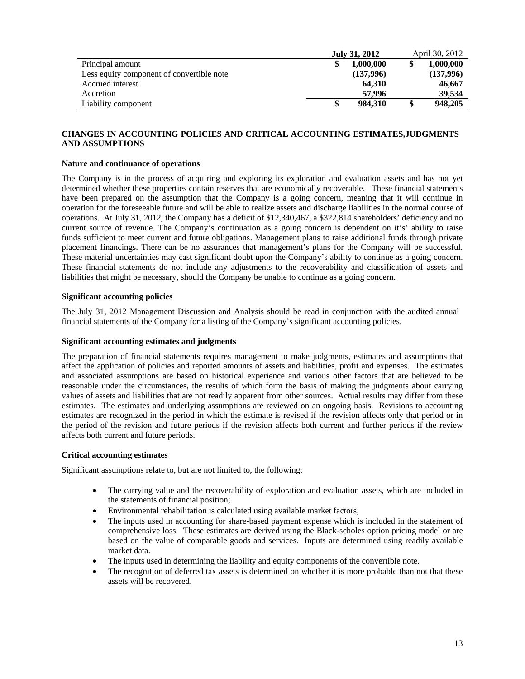|                                           | July 31, 2012 |           |    | April 30, 2012 |  |  |
|-------------------------------------------|---------------|-----------|----|----------------|--|--|
| Principal amount                          |               | 1.000.000 |    | 1,000,000      |  |  |
| Less equity component of convertible note |               | (137,996) |    | (137,996)      |  |  |
| Accrued interest                          |               | 64.310    |    | 46,667         |  |  |
| Accretion                                 |               | 57.996    |    | 39,534         |  |  |
| Liability component                       |               | 984.310   | \$ | 948,205        |  |  |

# **CHANGES IN ACCOUNTING POLICIES AND CRITICAL ACCOUNTING ESTIMATES,JUDGMENTS AND ASSUMPTIONS**

# **Nature and continuance of operations**

The Company is in the process of acquiring and exploring its exploration and evaluation assets and has not yet determined whether these properties contain reserves that are economically recoverable. These financial statements have been prepared on the assumption that the Company is a going concern, meaning that it will continue in operation for the foreseeable future and will be able to realize assets and discharge liabilities in the normal course of operations. At July 31, 2012, the Company has a deficit of \$12,340,467, a \$322,814 shareholders' deficiency and no current source of revenue. The Company's continuation as a going concern is dependent on it's' ability to raise funds sufficient to meet current and future obligations. Management plans to raise additional funds through private placement financings. There can be no assurances that management's plans for the Company will be successful. These material uncertainties may cast significant doubt upon the Company's ability to continue as a going concern. These financial statements do not include any adjustments to the recoverability and classification of assets and liabilities that might be necessary, should the Company be unable to continue as a going concern.

# **Significant accounting policies**

The July 31, 2012 Management Discussion and Analysis should be read in conjunction with the audited annual financial statements of the Company for a listing of the Company's significant accounting policies.

# **Significant accounting estimates and judgments**

The preparation of financial statements requires management to make judgments, estimates and assumptions that affect the application of policies and reported amounts of assets and liabilities, profit and expenses. The estimates and associated assumptions are based on historical experience and various other factors that are believed to be reasonable under the circumstances, the results of which form the basis of making the judgments about carrying values of assets and liabilities that are not readily apparent from other sources. Actual results may differ from these estimates. The estimates and underlying assumptions are reviewed on an ongoing basis. Revisions to accounting estimates are recognized in the period in which the estimate is revised if the revision affects only that period or in the period of the revision and future periods if the revision affects both current and further periods if the review affects both current and future periods.

# **Critical accounting estimates**

Significant assumptions relate to, but are not limited to, the following:

- The carrying value and the recoverability of exploration and evaluation assets, which are included in the statements of financial position;
- Environmental rehabilitation is calculated using available market factors;
- The inputs used in accounting for share-based payment expense which is included in the statement of comprehensive loss. These estimates are derived using the Black-scholes option pricing model or are based on the value of comparable goods and services. Inputs are determined using readily available market data.
- The inputs used in determining the liability and equity components of the convertible note.
- The recognition of deferred tax assets is determined on whether it is more probable than not that these assets will be recovered.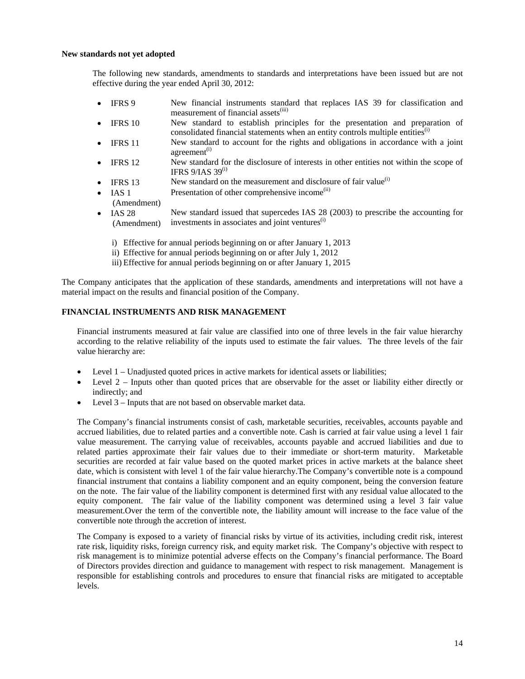### **New standards not yet adopted**

The following new standards, amendments to standards and interpretations have been issued but are not effective during the year ended April 30, 2012:

- IFRS 9 New financial instruments standard that replaces IAS 39 for classification and measurement of financial assets<sup>(iii)</sup>
- IFRS 10 New standard to establish principles for the presentation and preparation of consolidated financial statements when an entity controls multiple entities<sup>(i)</sup>
- IFRS 11 New standard to account for the rights and obligations in accordance with a joint  $a$ greement<sup> $(i)$ </sup>
- IFRS 12 New standard for the disclosure of interests in other entities not within the scope of IFRS  $9/IAS$  39<sup>(i)</sup>
- IFRS 13 New standard on the measurement and disclosure of fair value $^{(i)}$
- IAS 1 Presentation of other comprehensive income<sup>(ii)</sup>
- (Amendment)
- IAS 28 (Amendment) New standard issued that supercedes IAS 28 (2003) to prescribe the accounting for investments in associates and joint ventures $^{(i)}$ 
	- i) Effective for annual periods beginning on or after January 1, 2013
	- ii) Effective for annual periods beginning on or after July 1, 2012
	- iii) Effective for annual periods beginning on or after January 1, 2015

The Company anticipates that the application of these standards, amendments and interpretations will not have a material impact on the results and financial position of the Company.

# **FINANCIAL INSTRUMENTS AND RISK MANAGEMENT**

Financial instruments measured at fair value are classified into one of three levels in the fair value hierarchy according to the relative reliability of the inputs used to estimate the fair values. The three levels of the fair value hierarchy are:

- Level 1 Unadjusted quoted prices in active markets for identical assets or liabilities;
- Level 2 Inputs other than quoted prices that are observable for the asset or liability either directly or indirectly; and
- Level 3 Inputs that are not based on observable market data.

The Company's financial instruments consist of cash, marketable securities, receivables, accounts payable and accrued liabilities, due to related parties and a convertible note. Cash is carried at fair value using a level 1 fair value measurement. The carrying value of receivables, accounts payable and accrued liabilities and due to related parties approximate their fair values due to their immediate or short-term maturity. Marketable securities are recorded at fair value based on the quoted market prices in active markets at the balance sheet date, which is consistent with level 1 of the fair value hierarchy.The Company's convertible note is a compound financial instrument that contains a liability component and an equity component, being the conversion feature on the note. The fair value of the liability component is determined first with any residual value allocated to the equity component. The fair value of the liability component was determined using a level 3 fair value measurement.Over the term of the convertible note, the liability amount will increase to the face value of the convertible note through the accretion of interest.

The Company is exposed to a variety of financial risks by virtue of its activities, including credit risk, interest rate risk, liquidity risks, foreign currency risk, and equity market risk. The Company's objective with respect to risk management is to minimize potential adverse effects on the Company's financial performance. The Board of Directors provides direction and guidance to management with respect to risk management. Management is responsible for establishing controls and procedures to ensure that financial risks are mitigated to acceptable levels.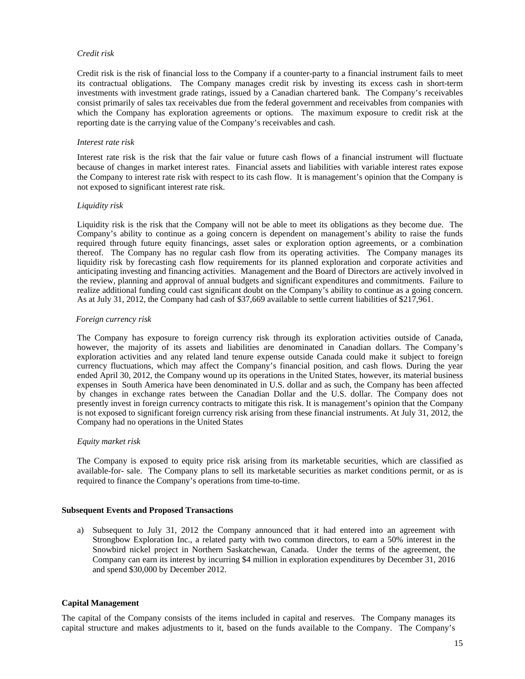# *Credit risk*

Credit risk is the risk of financial loss to the Company if a counter-party to a financial instrument fails to meet its contractual obligations. The Company manages credit risk by investing its excess cash in short-term investments with investment grade ratings, issued by a Canadian chartered bank. The Company's receivables consist primarily of sales tax receivables due from the federal government and receivables from companies with which the Company has exploration agreements or options. The maximum exposure to credit risk at the reporting date is the carrying value of the Company's receivables and cash.

# *Interest rate risk*

Interest rate risk is the risk that the fair value or future cash flows of a financial instrument will fluctuate because of changes in market interest rates. Financial assets and liabilities with variable interest rates expose the Company to interest rate risk with respect to its cash flow. It is management's opinion that the Company is not exposed to significant interest rate risk.

# *Liquidity risk*

Liquidity risk is the risk that the Company will not be able to meet its obligations as they become due. The Company's ability to continue as a going concern is dependent on management's ability to raise the funds required through future equity financings, asset sales or exploration option agreements, or a combination thereof. The Company has no regular cash flow from its operating activities. The Company manages its liquidity risk by forecasting cash flow requirements for its planned exploration and corporate activities and anticipating investing and financing activities. Management and the Board of Directors are actively involved in the review, planning and approval of annual budgets and significant expenditures and commitments. Failure to realize additional funding could cast significant doubt on the Company's ability to continue as a going concern. As at July 31, 2012, the Company had cash of \$37,669 available to settle current liabilities of \$217,961.

# *Foreign currency risk*

 The Company has exposure to foreign currency risk through its exploration activities outside of Canada, however, the majority of its assets and liabilities are denominated in Canadian dollars. The Company's exploration activities and any related land tenure expense outside Canada could make it subject to foreign currency fluctuations, which may affect the Company's financial position, and cash flows. During the year ended April 30, 2012, the Company wound up its operations in the United States, however, its material business expenses in South America have been denominated in U.S. dollar and as such, the Company has been affected by changes in exchange rates between the Canadian Dollar and the U.S. dollar. The Company does not presently invest in foreign currency contracts to mitigate this risk. It is management's opinion that the Company is not exposed to significant foreign currency risk arising from these financial instruments. At July 31, 2012, the Company had no operations in the United States

# *Equity market risk*

The Company is exposed to equity price risk arising from its marketable securities, which are classified as available-for- sale. The Company plans to sell its marketable securities as market conditions permit, or as is required to finance the Company's operations from time-to-time.

# **Subsequent Events and Proposed Transactions**

a) Subsequent to July 31, 2012 the Company announced that it had entered into an agreement with Strongbow Exploration Inc., a related party with two common directors, to earn a 50% interest in the Snowbird nickel project in Northern Saskatchewan, Canada. Under the terms of the agreement, the Company can earn its interest by incurring \$4 million in exploration expenditures by December 31, 2016 and spend \$30,000 by December 2012.

# **Capital Management**

The capital of the Company consists of the items included in capital and reserves. The Company manages its capital structure and makes adjustments to it, based on the funds available to the Company. The Company's